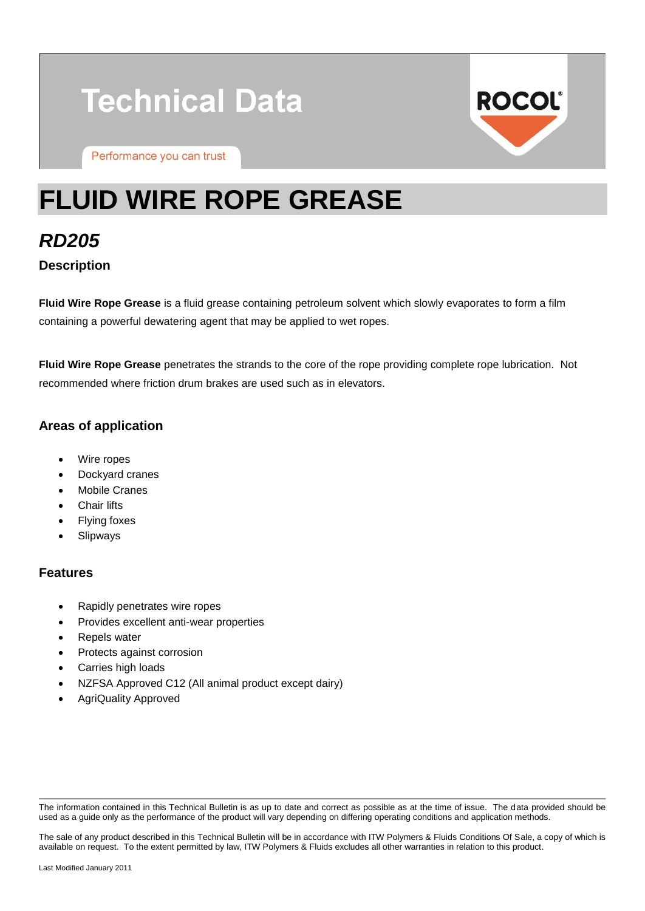# **Technical Data**

Performance you can trust



## **FLUID WIRE ROPE GREASE**

*RD205* **Description**

**Fluid Wire Rope Grease** is a fluid grease containing petroleum solvent which slowly evaporates to form a film containing a powerful dewatering agent that may be applied to wet ropes.

**Fluid Wire Rope Grease** penetrates the strands to the core of the rope providing complete rope lubrication. Not recommended where friction drum brakes are used such as in elevators.

#### **Areas of application**

- Wire ropes
- Dockyard cranes
- Mobile Cranes
- Chair lifts
- Flying foxes
- Slipways

#### **Features**

- Rapidly penetrates wire ropes
- Provides excellent anti-wear properties
- Repels water
- Protects against corrosion
- Carries high loads
- NZFSA Approved C12 (All animal product except dairy)
- AgriQuality Approved

The information contained in this Technical Bulletin is as up to date and correct as possible as at the time of issue. The data provided should be used as a guide only as the performance of the product will vary depending on differing operating conditions and application methods.

The sale of any product described in this Technical Bulletin will be in accordance with ITW Polymers & Fluids Conditions Of Sale, a copy of which is available on request. To the extent permitted by law, ITW Polymers & Fluids excludes all other warranties in relation to this product.